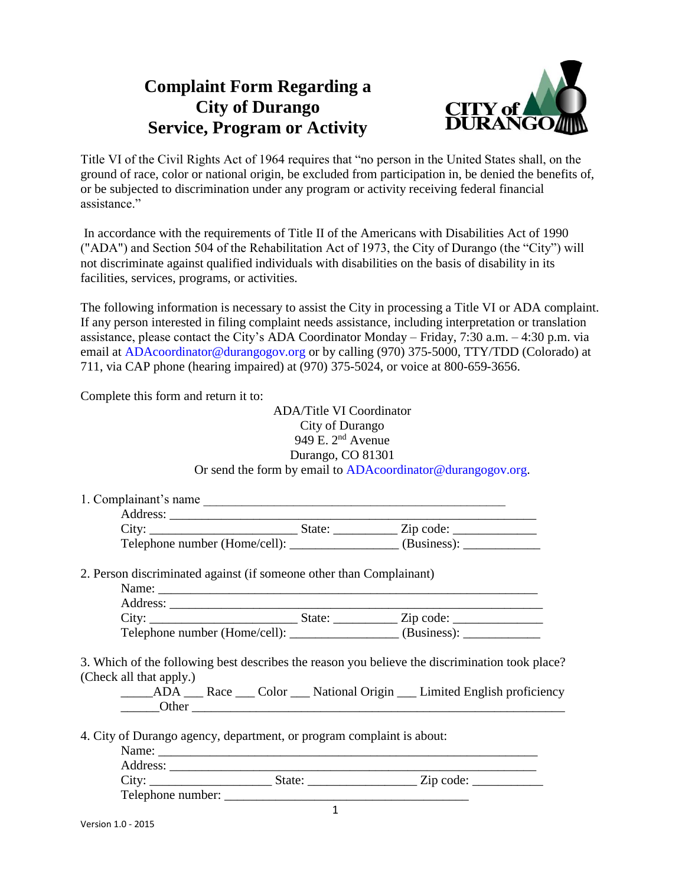## **Complaint Form Regarding a City of Durango Service, Program or Activity**



Title VI of the Civil Rights Act of 1964 requires that "no person in the United States shall, on the ground of race, color or national origin, be excluded from participation in, be denied the benefits of, or be subjected to discrimination under any program or activity receiving federal financial assistance."

In accordance with the requirements of Title II of the Americans with Disabilities Act of 1990 ("ADA") and Section 504 of the Rehabilitation Act of 1973, the City of Durango (the "City") will not discriminate against qualified individuals with disabilities on the basis of disability in its facilities, services, programs, or activities.

The following information is necessary to assist the City in processing a Title VI or ADA complaint. If any person interested in filing complaint needs assistance, including interpretation or translation assistance, please contact the City's ADA Coordinator Monday – Friday, 7:30 a.m. – 4:30 p.m. via email at ADAcoordinator@durangogov.org or by calling (970) 375-5000, TTY/TDD (Colorado) at 711, via CAP phone (hearing impaired) at (970) 375-5024, or voice at 800-659-3656.

Complete this form and return it to:

ADA/Title VI Coordinator City of Durango 949 E. 2nd Avenue Durango, CO 81301 Or send the form by email to ADAcoordinator@durangogov.org.

|                                                                     | Address: |                                                                                  |  |
|---------------------------------------------------------------------|----------|----------------------------------------------------------------------------------|--|
|                                                                     |          | Telephone number (Home/cell): _________________(Business): _____________________ |  |
| 2. Person discriminated against (if someone other than Complainant) |          |                                                                                  |  |
|                                                                     |          |                                                                                  |  |
|                                                                     |          |                                                                                  |  |

(Check all that apply.)

\_\_\_\_\_ADA \_\_\_ Race \_\_\_ Color \_\_\_ National Origin \_\_\_ Limited English proficiency Other  $\Box$ 

4. City of Durango agency, department, or program complaint is about:

Name:

| City:             | State: | Zip code: |  |
|-------------------|--------|-----------|--|
| Telephone number: |        |           |  |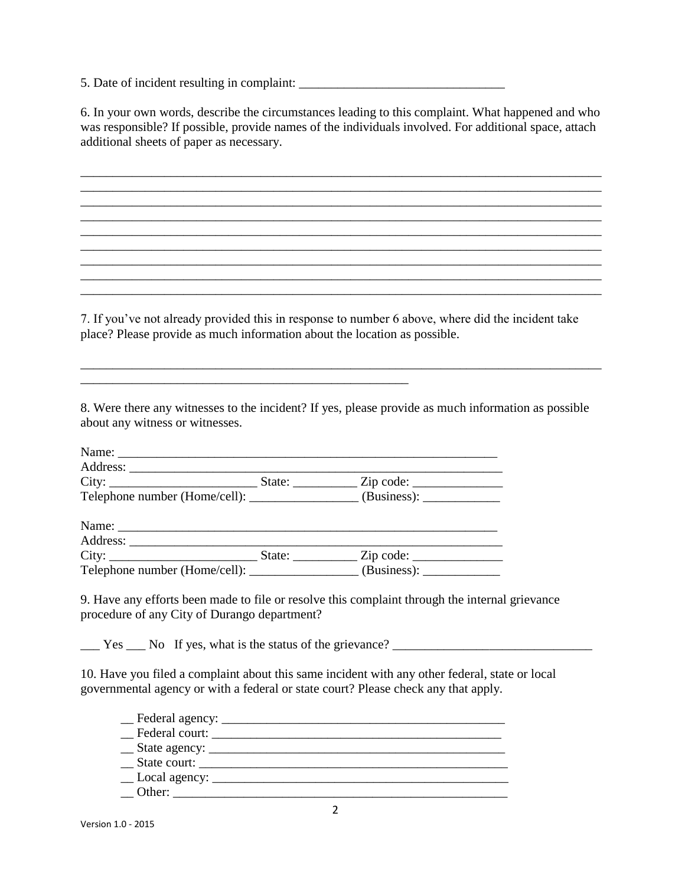5. Date of incident resulting in complaint: \_\_\_\_\_\_\_\_\_\_\_\_\_\_\_\_\_\_\_\_\_\_\_\_\_\_\_\_\_\_\_\_

6. In your own words, describe the circumstances leading to this complaint. What happened and who was responsible? If possible, provide names of the individuals involved. For additional space, attach additional sheets of paper as necessary.

\_\_\_\_\_\_\_\_\_\_\_\_\_\_\_\_\_\_\_\_\_\_\_\_\_\_\_\_\_\_\_\_\_\_\_\_\_\_\_\_\_\_\_\_\_\_\_\_\_\_\_\_\_\_\_\_\_\_\_\_\_\_\_\_\_\_\_\_\_\_\_\_\_\_\_\_\_\_\_\_\_ \_\_\_\_\_\_\_\_\_\_\_\_\_\_\_\_\_\_\_\_\_\_\_\_\_\_\_\_\_\_\_\_\_\_\_\_\_\_\_\_\_\_\_\_\_\_\_\_\_\_\_\_\_\_\_\_\_\_\_\_\_\_\_\_\_\_\_\_\_\_\_\_\_\_\_\_\_\_\_\_\_

\_\_\_\_\_\_\_\_\_\_\_\_\_\_\_\_\_\_\_\_\_\_\_\_\_\_\_\_\_\_\_\_\_\_\_\_\_\_\_\_\_\_\_\_\_\_\_\_\_\_\_\_\_\_\_\_\_\_\_\_\_\_\_\_\_\_\_\_\_\_\_\_\_\_\_\_\_\_\_\_\_

\_\_\_\_\_\_\_\_\_\_\_\_\_\_\_\_\_\_\_\_\_\_\_\_\_\_\_\_\_\_\_\_\_\_\_\_\_\_\_\_\_\_\_\_\_\_\_\_\_\_\_\_\_\_\_\_\_\_\_\_\_\_\_\_\_\_\_\_\_\_\_\_\_\_\_\_\_\_\_\_\_

7. If you've not already provided this in response to number 6 above, where did the incident take place? Please provide as much information about the location as possible.

\_\_\_\_\_\_\_\_\_\_\_\_\_\_\_\_\_\_\_\_\_\_\_\_\_\_\_\_\_\_\_\_\_\_\_\_\_\_\_\_\_\_\_\_\_\_\_\_\_\_\_\_\_\_\_\_\_\_\_\_\_\_\_\_\_\_\_\_\_\_\_\_\_\_\_\_\_\_\_\_\_

8. Were there any witnesses to the incident? If yes, please provide as much information as possible about any witness or witnesses.

\_\_\_\_\_\_\_\_\_\_\_\_\_\_\_\_\_\_\_\_\_\_\_\_\_\_\_\_\_\_\_\_\_\_\_\_\_\_\_\_\_\_\_\_\_\_\_\_\_\_\_\_\_\_\_\_\_\_\_\_\_\_\_\_\_\_\_\_\_\_\_\_\_\_\_\_\_\_\_\_\_

| Telephone number (Home/cell): ________________(Business): ______________________ |  |  |
|----------------------------------------------------------------------------------|--|--|
|                                                                                  |  |  |
|                                                                                  |  |  |
|                                                                                  |  |  |
| Telephone number (Home/cell): ________________ (Business): _____________         |  |  |

9. Have any efforts been made to file or resolve this complaint through the internal grievance procedure of any City of Durango department?

 $\frac{1}{2}$  Yes  $\frac{1}{2}$  No If yes, what is the status of the grievance?  $\frac{1}{2}$ 

10. Have you filed a complaint about this same incident with any other federal, state or local governmental agency or with a federal or state court? Please check any that apply.

| Federal court:                  |  |  |
|---------------------------------|--|--|
|                                 |  |  |
| State court:                    |  |  |
| $\angle$ Local agency: $\angle$ |  |  |
| Other: $\qquad \qquad$          |  |  |
|                                 |  |  |